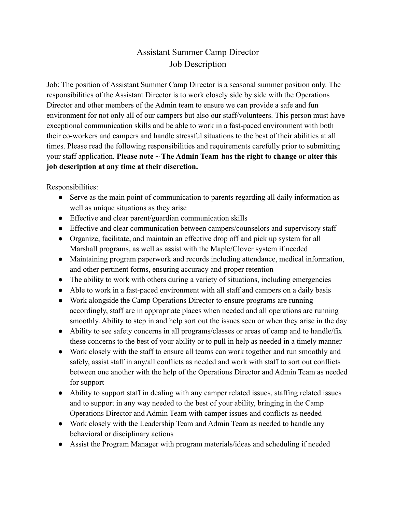## Assistant Summer Camp Director Job Description

Job: The position of Assistant Summer Camp Director is a seasonal summer position only. The responsibilities of the Assistant Director is to work closely side by side with the Operations Director and other members of the Admin team to ensure we can provide a safe and fun environment for not only all of our campers but also our staff/volunteers. This person must have exceptional communication skills and be able to work in a fast-paced environment with both their co-workers and campers and handle stressful situations to the best of their abilities at all times. Please read the following responsibilities and requirements carefully prior to submitting your staff application. **Please note ~ The Admin Team has the right to change or alter this job description at any time at their discretion.**

Responsibilities:

- Serve as the main point of communication to parents regarding all daily information as well as unique situations as they arise
- Effective and clear parent/guardian communication skills
- Effective and clear communication between campers/counselors and supervisory staff
- Organize, facilitate, and maintain an effective drop off and pick up system for all Marshall programs, as well as assist with the Maple/Clover system if needed
- Maintaining program paperwork and records including attendance, medical information, and other pertinent forms, ensuring accuracy and proper retention
- The ability to work with others during a variety of situations, including emergencies
- Able to work in a fast-paced environment with all staff and campers on a daily basis
- Work alongside the Camp Operations Director to ensure programs are running accordingly, staff are in appropriate places when needed and all operations are running smoothly. Ability to step in and help sort out the issues seen or when they arise in the day
- Ability to see safety concerns in all programs/classes or areas of camp and to handle/fix these concerns to the best of your ability or to pull in help as needed in a timely manner
- Work closely with the staff to ensure all teams can work together and run smoothly and safely, assist staff in any/all conflicts as needed and work with staff to sort out conflicts between one another with the help of the Operations Director and Admin Team as needed for support
- Ability to support staff in dealing with any camper related issues, staffing related issues and to support in any way needed to the best of your ability, bringing in the Camp Operations Director and Admin Team with camper issues and conflicts as needed
- Work closely with the Leadership Team and Admin Team as needed to handle any behavioral or disciplinary actions
- Assist the Program Manager with program materials/ideas and scheduling if needed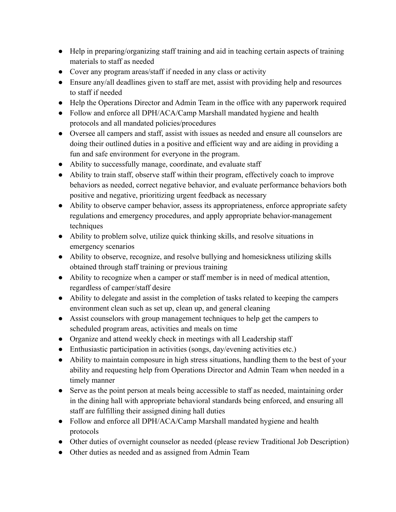- Help in preparing/organizing staff training and aid in teaching certain aspects of training materials to staff as needed
- Cover any program areas/staff if needed in any class or activity
- Ensure any/all deadlines given to staff are met, assist with providing help and resources to staff if needed
- Help the Operations Director and Admin Team in the office with any paperwork required
- Follow and enforce all DPH/ACA/Camp Marshall mandated hygiene and health protocols and all mandated policies/procedures
- Oversee all campers and staff, assist with issues as needed and ensure all counselors are doing their outlined duties in a positive and efficient way and are aiding in providing a fun and safe environment for everyone in the program.
- Ability to successfully manage, coordinate, and evaluate staff
- Ability to train staff, observe staff within their program, effectively coach to improve behaviors as needed, correct negative behavior, and evaluate performance behaviors both positive and negative, prioritizing urgent feedback as necessary
- Ability to observe camper behavior, assess its appropriateness, enforce appropriate safety regulations and emergency procedures, and apply appropriate behavior-management techniques
- Ability to problem solve, utilize quick thinking skills, and resolve situations in emergency scenarios
- Ability to observe, recognize, and resolve bullying and homesickness utilizing skills obtained through staff training or previous training
- Ability to recognize when a camper or staff member is in need of medical attention, regardless of camper/staff desire
- Ability to delegate and assist in the completion of tasks related to keeping the campers environment clean such as set up, clean up, and general cleaning
- Assist counselors with group management techniques to help get the campers to scheduled program areas, activities and meals on time
- Organize and attend weekly check in meetings with all Leadership staff
- Enthusiastic participation in activities (songs, day/evening activities etc.)
- Ability to maintain composure in high stress situations, handling them to the best of your ability and requesting help from Operations Director and Admin Team when needed in a timely manner
- Serve as the point person at meals being accessible to staff as needed, maintaining order in the dining hall with appropriate behavioral standards being enforced, and ensuring all staff are fulfilling their assigned dining hall duties
- Follow and enforce all DPH/ACA/Camp Marshall mandated hygiene and health protocols
- Other duties of overnight counselor as needed (please review Traditional Job Description)
- Other duties as needed and as assigned from Admin Team